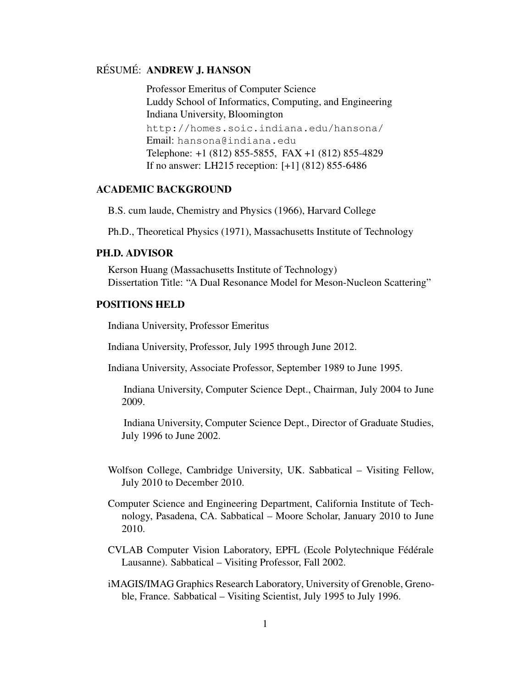## RÉSUMÉ: ANDREW J. HANSON

Professor Emeritus of Computer Science Luddy School of Informatics, Computing, and Engineering Indiana University, Bloomington

http://homes.soic.indiana.edu/hansona/ Email: hansona@indiana.edu Telephone: +1 (812) 855-5855, FAX +1 (812) 855-4829 If no answer: LH215 reception: [+1] (812) 855-6486

## ACADEMIC BACKGROUND

B.S. cum laude, Chemistry and Physics (1966), Harvard College

Ph.D., Theoretical Physics (1971), Massachusetts Institute of Technology

## PH.D. ADVISOR

Kerson Huang (Massachusetts Institute of Technology) Dissertation Title: "A Dual Resonance Model for Meson-Nucleon Scattering"

## POSITIONS HELD

Indiana University, Professor Emeritus

Indiana University, Professor, July 1995 through June 2012.

Indiana University, Associate Professor, September 1989 to June 1995.

Indiana University, Computer Science Dept., Chairman, July 2004 to June 2009.

Indiana University, Computer Science Dept., Director of Graduate Studies, July 1996 to June 2002.

- Wolfson College, Cambridge University, UK. Sabbatical Visiting Fellow, July 2010 to December 2010.
- Computer Science and Engineering Department, California Institute of Technology, Pasadena, CA. Sabbatical – Moore Scholar, January 2010 to June 2010.
- CVLAB Computer Vision Laboratory, EPFL (Ecole Polytechnique Fédérale Lausanne). Sabbatical – Visiting Professor, Fall 2002.
- iMAGIS/IMAG Graphics Research Laboratory, University of Grenoble, Grenoble, France. Sabbatical – Visiting Scientist, July 1995 to July 1996.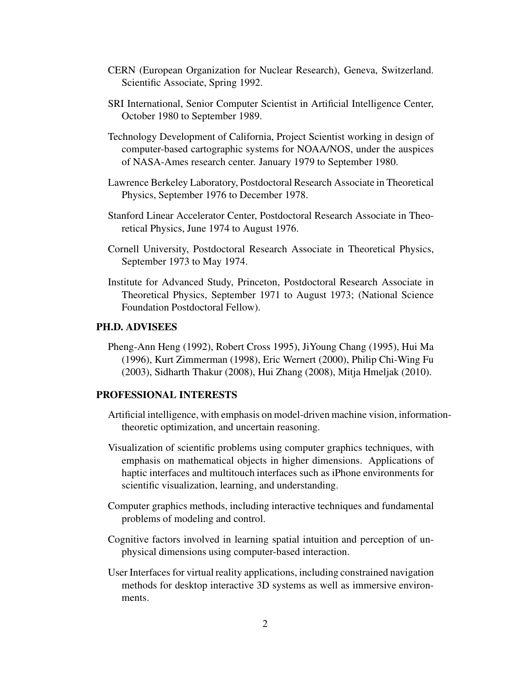- CERN (European Organization for Nuclear Research), Geneva, Switzerland. Scientific Associate, Spring 1992.
- SRI International, Senior Computer Scientist in Artificial Intelligence Center, October 1980 to September 1989.
- Technology Development of California, Project Scientist working in design of computer-based cartographic systems for NOAA/NOS, under the auspices of NASA-Ames research center. January 1979 to September 1980.
- Lawrence Berkeley Laboratory, Postdoctoral Research Associate in Theoretical Physics, September 1976 to December 1978.
- Stanford Linear Accelerator Center, Postdoctoral Research Associate in Theoretical Physics, June 1974 to August 1976.
- Cornell University, Postdoctoral Research Associate in Theoretical Physics, September 1973 to May 1974.
- Institute for Advanced Study, Princeton, Postdoctoral Research Associate in Theoretical Physics, September 1971 to August 1973; (National Science Foundation Postdoctoral Fellow).

## PH.D. ADVISEES

Pheng-Ann Heng (1992), Robert Cross 1995), JiYoung Chang (1995), Hui Ma (1996), Kurt Zimmerman (1998), Eric Wernert (2000), Philip Chi-Wing Fu (2003), Sidharth Thakur (2008), Hui Zhang (2008), Mitja Hmeljak (2010).

### PROFESSIONAL INTERESTS

- Artificial intelligence, with emphasis on model-driven machine vision, informationtheoretic optimization, and uncertain reasoning.
- Visualization of scientific problems using computer graphics techniques, with emphasis on mathematical objects in higher dimensions. Applications of haptic interfaces and multitouch interfaces such as iPhone environments for scientific visualization, learning, and understanding.
- Computer graphics methods, including interactive techniques and fundamental problems of modeling and control.
- Cognitive factors involved in learning spatial intuition and perception of unphysical dimensions using computer-based interaction.
- User Interfaces for virtual reality applications, including constrained navigation methods for desktop interactive 3D systems as well as immersive environments.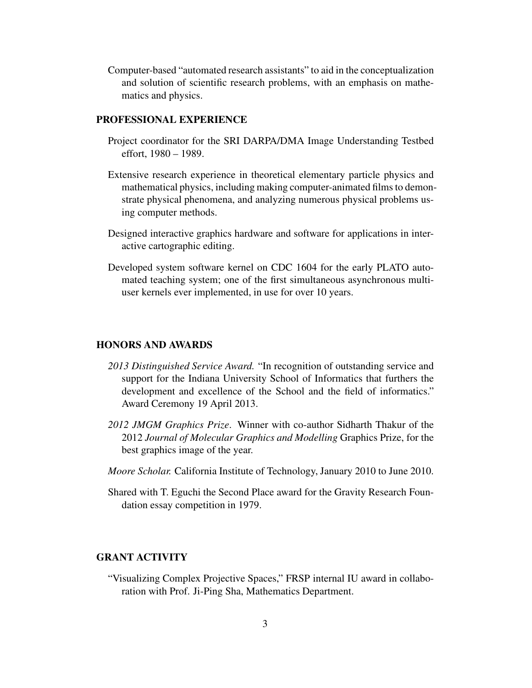Computer-based "automated research assistants" to aid in the conceptualization and solution of scientific research problems, with an emphasis on mathematics and physics.

### PROFESSIONAL EXPERIENCE

- Project coordinator for the SRI DARPA/DMA Image Understanding Testbed effort, 1980 – 1989.
- Extensive research experience in theoretical elementary particle physics and mathematical physics, including making computer-animated films to demonstrate physical phenomena, and analyzing numerous physical problems using computer methods.
- Designed interactive graphics hardware and software for applications in interactive cartographic editing.
- Developed system software kernel on CDC 1604 for the early PLATO automated teaching system; one of the first simultaneous asynchronous multiuser kernels ever implemented, in use for over 10 years.

### HONORS AND AWARDS

- *2013 Distinguished Service Award.* "In recognition of outstanding service and support for the Indiana University School of Informatics that furthers the development and excellence of the School and the field of informatics." Award Ceremony 19 April 2013.
- *2012 JMGM Graphics Prize*. Winner with co-author Sidharth Thakur of the 2012 *Journal of Molecular Graphics and Modelling* Graphics Prize, for the best graphics image of the year.
- *Moore Scholar.* California Institute of Technology, January 2010 to June 2010.
- Shared with T. Eguchi the Second Place award for the Gravity Research Foundation essay competition in 1979.

### GRANT ACTIVITY

"Visualizing Complex Projective Spaces," FRSP internal IU award in collaboration with Prof. Ji-Ping Sha, Mathematics Department.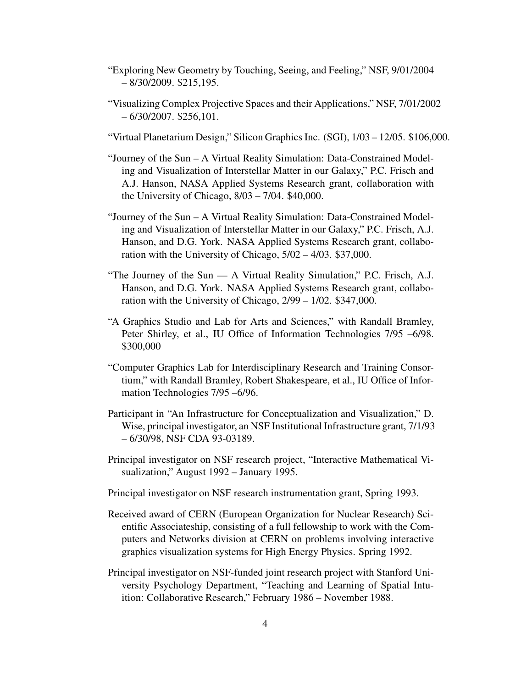- "Exploring New Geometry by Touching, Seeing, and Feeling," NSF, 9/01/2004 – 8/30/2009. \$215,195.
- "Visualizing Complex Projective Spaces and their Applications," NSF, 7/01/2002 – 6/30/2007. \$256,101.
- "Virtual Planetarium Design," Silicon Graphics Inc. (SGI), 1/03 12/05. \$106,000.
- "Journey of the Sun A Virtual Reality Simulation: Data-Constrained Modeling and Visualization of Interstellar Matter in our Galaxy," P.C. Frisch and A.J. Hanson, NASA Applied Systems Research grant, collaboration with the University of Chicago, 8/03 – 7/04. \$40,000.
- "Journey of the Sun A Virtual Reality Simulation: Data-Constrained Modeling and Visualization of Interstellar Matter in our Galaxy," P.C. Frisch, A.J. Hanson, and D.G. York. NASA Applied Systems Research grant, collaboration with the University of Chicago, 5/02 – 4/03. \$37,000.
- "The Journey of the Sun A Virtual Reality Simulation," P.C. Frisch, A.J. Hanson, and D.G. York. NASA Applied Systems Research grant, collaboration with the University of Chicago, 2/99 – 1/02. \$347,000.
- "A Graphics Studio and Lab for Arts and Sciences," with Randall Bramley, Peter Shirley, et al., IU Office of Information Technologies 7/95 –6/98. \$300,000
- "Computer Graphics Lab for Interdisciplinary Research and Training Consortium," with Randall Bramley, Robert Shakespeare, et al., IU Office of Information Technologies 7/95 –6/96.
- Participant in "An Infrastructure for Conceptualization and Visualization," D. Wise, principal investigator, an NSF Institutional Infrastructure grant, 7/1/93 – 6/30/98, NSF CDA 93-03189.
- Principal investigator on NSF research project, "Interactive Mathematical Visualization," August 1992 – January 1995.
- Principal investigator on NSF research instrumentation grant, Spring 1993.
- Received award of CERN (European Organization for Nuclear Research) Scientific Associateship, consisting of a full fellowship to work with the Computers and Networks division at CERN on problems involving interactive graphics visualization systems for High Energy Physics. Spring 1992.
- Principal investigator on NSF-funded joint research project with Stanford University Psychology Department, "Teaching and Learning of Spatial Intuition: Collaborative Research," February 1986 – November 1988.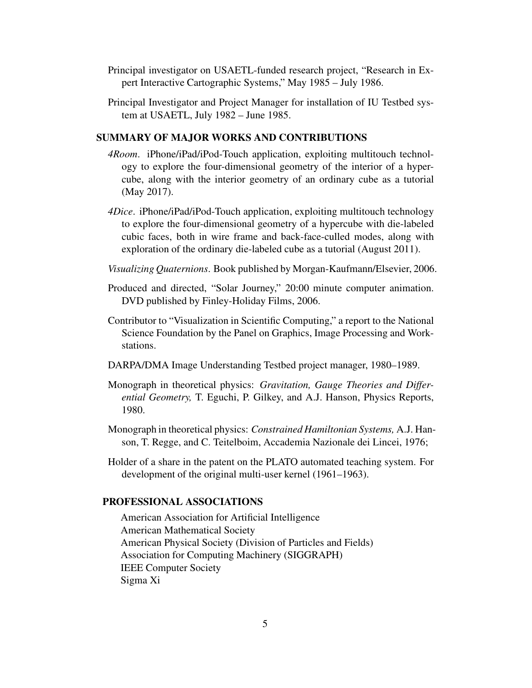- Principal investigator on USAETL-funded research project, "Research in Expert Interactive Cartographic Systems," May 1985 – July 1986.
- Principal Investigator and Project Manager for installation of IU Testbed system at USAETL, July 1982 – June 1985.

### SUMMARY OF MAJOR WORKS AND CONTRIBUTIONS

- *4Room*. iPhone/iPad/iPod-Touch application, exploiting multitouch technology to explore the four-dimensional geometry of the interior of a hypercube, along with the interior geometry of an ordinary cube as a tutorial (May 2017).
- *4Dice*. iPhone/iPad/iPod-Touch application, exploiting multitouch technology to explore the four-dimensional geometry of a hypercube with die-labeled cubic faces, both in wire frame and back-face-culled modes, along with exploration of the ordinary die-labeled cube as a tutorial (August 2011).
- *Visualizing Quaternions*. Book published by Morgan-Kaufmann/Elsevier, 2006.
- Produced and directed, "Solar Journey," 20:00 minute computer animation. DVD published by Finley-Holiday Films, 2006.
- Contributor to "Visualization in Scientific Computing," a report to the National Science Foundation by the Panel on Graphics, Image Processing and Workstations.
- DARPA/DMA Image Understanding Testbed project manager, 1980–1989.
- Monograph in theoretical physics: *Gravitation, Gauge Theories and Differential Geometry,* T. Eguchi, P. Gilkey, and A.J. Hanson, Physics Reports, 1980.
- Monograph in theoretical physics: *Constrained Hamiltonian Systems,* A.J. Hanson, T. Regge, and C. Teitelboim, Accademia Nazionale dei Lincei, 1976;
- Holder of a share in the patent on the PLATO automated teaching system. For development of the original multi-user kernel (1961–1963).

## PROFESSIONAL ASSOCIATIONS

American Association for Artificial Intelligence American Mathematical Society American Physical Society (Division of Particles and Fields) Association for Computing Machinery (SIGGRAPH) IEEE Computer Society Sigma Xi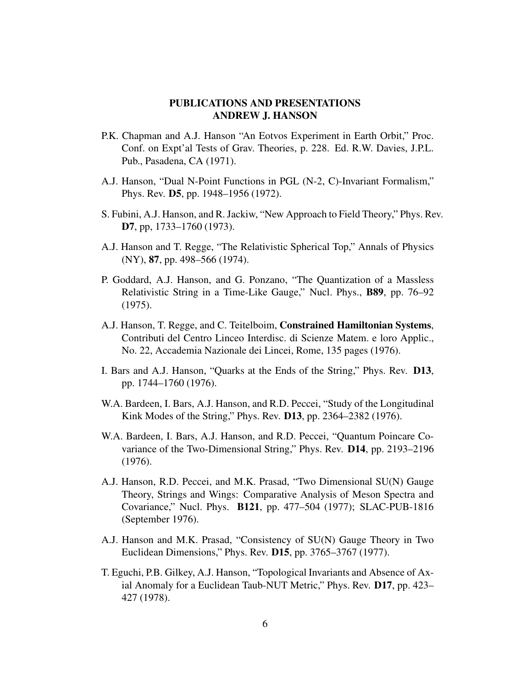# PUBLICATIONS AND PRESENTATIONS ANDREW J. HANSON

- P.K. Chapman and A.J. Hanson "An Eotvos Experiment in Earth Orbit," Proc. Conf. on Expt'al Tests of Grav. Theories, p. 228. Ed. R.W. Davies, J.P.L. Pub., Pasadena, CA (1971).
- A.J. Hanson, "Dual N-Point Functions in PGL (N-2, C)-Invariant Formalism," Phys. Rev. D5, pp. 1948–1956 (1972).
- S. Fubini, A.J. Hanson, and R. Jackiw, "New Approach to Field Theory," Phys. Rev. D7, pp, 1733–1760 (1973).
- A.J. Hanson and T. Regge, "The Relativistic Spherical Top," Annals of Physics (NY), 87, pp. 498–566 (1974).
- P. Goddard, A.J. Hanson, and G. Ponzano, "The Quantization of a Massless Relativistic String in a Time-Like Gauge," Nucl. Phys., B89, pp. 76–92 (1975).
- A.J. Hanson, T. Regge, and C. Teitelboim, Constrained Hamiltonian Systems, Contributi del Centro Linceo Interdisc. di Scienze Matem. e loro Applic., No. 22, Accademia Nazionale dei Lincei, Rome, 135 pages (1976).
- I. Bars and A.J. Hanson, "Quarks at the Ends of the String," Phys. Rev. D13, pp. 1744–1760 (1976).
- W.A. Bardeen, I. Bars, A.J. Hanson, and R.D. Peccei, "Study of the Longitudinal Kink Modes of the String," Phys. Rev. D13, pp. 2364–2382 (1976).
- W.A. Bardeen, I. Bars, A.J. Hanson, and R.D. Peccei, "Quantum Poincare Covariance of the Two-Dimensional String," Phys. Rev. D14, pp. 2193–2196 (1976).
- A.J. Hanson, R.D. Peccei, and M.K. Prasad, "Two Dimensional SU(N) Gauge Theory, Strings and Wings: Comparative Analysis of Meson Spectra and Covariance," Nucl. Phys. B121, pp. 477–504 (1977); SLAC-PUB-1816 (September 1976).
- A.J. Hanson and M.K. Prasad, "Consistency of SU(N) Gauge Theory in Two Euclidean Dimensions," Phys. Rev. D15, pp. 3765–3767 (1977).
- T. Eguchi, P.B. Gilkey, A.J. Hanson, "Topological Invariants and Absence of Axial Anomaly for a Euclidean Taub-NUT Metric," Phys. Rev. D17, pp. 423– 427 (1978).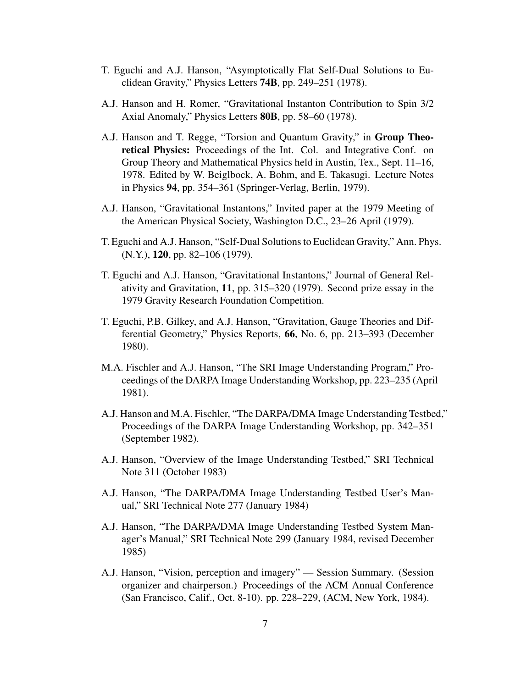- T. Eguchi and A.J. Hanson, "Asymptotically Flat Self-Dual Solutions to Euclidean Gravity," Physics Letters 74B, pp. 249–251 (1978).
- A.J. Hanson and H. Romer, "Gravitational Instanton Contribution to Spin 3/2 Axial Anomaly," Physics Letters 80B, pp. 58–60 (1978).
- A.J. Hanson and T. Regge, "Torsion and Quantum Gravity," in Group Theoretical Physics: Proceedings of the Int. Col. and Integrative Conf. on Group Theory and Mathematical Physics held in Austin, Tex., Sept. 11–16, 1978. Edited by W. Beiglbock, A. Bohm, and E. Takasugi. Lecture Notes in Physics 94, pp. 354–361 (Springer-Verlag, Berlin, 1979).
- A.J. Hanson, "Gravitational Instantons," Invited paper at the 1979 Meeting of the American Physical Society, Washington D.C., 23–26 April (1979).
- T. Eguchi and A.J. Hanson, "Self-Dual Solutions to Euclidean Gravity," Ann. Phys. (N.Y.), 120, pp. 82–106 (1979).
- T. Eguchi and A.J. Hanson, "Gravitational Instantons," Journal of General Relativity and Gravitation, 11, pp. 315–320 (1979). Second prize essay in the 1979 Gravity Research Foundation Competition.
- T. Eguchi, P.B. Gilkey, and A.J. Hanson, "Gravitation, Gauge Theories and Differential Geometry," Physics Reports, 66, No. 6, pp. 213–393 (December 1980).
- M.A. Fischler and A.J. Hanson, "The SRI Image Understanding Program," Proceedings of the DARPA Image Understanding Workshop, pp. 223–235 (April 1981).
- A.J. Hanson and M.A. Fischler, "The DARPA/DMA Image Understanding Testbed," Proceedings of the DARPA Image Understanding Workshop, pp. 342–351 (September 1982).
- A.J. Hanson, "Overview of the Image Understanding Testbed," SRI Technical Note 311 (October 1983)
- A.J. Hanson, "The DARPA/DMA Image Understanding Testbed User's Manual," SRI Technical Note 277 (January 1984)
- A.J. Hanson, "The DARPA/DMA Image Understanding Testbed System Manager's Manual," SRI Technical Note 299 (January 1984, revised December 1985)
- A.J. Hanson, "Vision, perception and imagery" Session Summary. (Session organizer and chairperson.) Proceedings of the ACM Annual Conference (San Francisco, Calif., Oct. 8-10). pp. 228–229, (ACM, New York, 1984).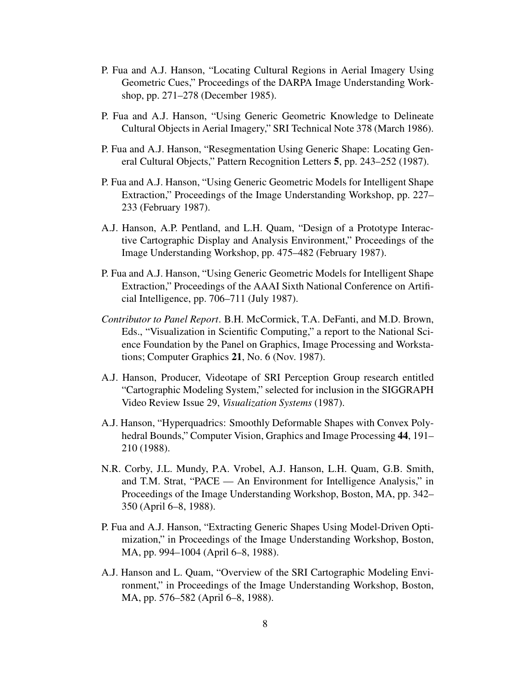- P. Fua and A.J. Hanson, "Locating Cultural Regions in Aerial Imagery Using Geometric Cues," Proceedings of the DARPA Image Understanding Workshop, pp. 271–278 (December 1985).
- P. Fua and A.J. Hanson, "Using Generic Geometric Knowledge to Delineate Cultural Objects in Aerial Imagery," SRI Technical Note 378 (March 1986).
- P. Fua and A.J. Hanson, "Resegmentation Using Generic Shape: Locating General Cultural Objects," Pattern Recognition Letters 5, pp. 243–252 (1987).
- P. Fua and A.J. Hanson, "Using Generic Geometric Models for Intelligent Shape Extraction," Proceedings of the Image Understanding Workshop, pp. 227– 233 (February 1987).
- A.J. Hanson, A.P. Pentland, and L.H. Quam, "Design of a Prototype Interactive Cartographic Display and Analysis Environment," Proceedings of the Image Understanding Workshop, pp. 475–482 (February 1987).
- P. Fua and A.J. Hanson, "Using Generic Geometric Models for Intelligent Shape Extraction," Proceedings of the AAAI Sixth National Conference on Artificial Intelligence, pp. 706–711 (July 1987).
- *Contributor to Panel Report*. B.H. McCormick, T.A. DeFanti, and M.D. Brown, Eds., "Visualization in Scientific Computing," a report to the National Science Foundation by the Panel on Graphics, Image Processing and Workstations; Computer Graphics 21, No. 6 (Nov. 1987).
- A.J. Hanson, Producer, Videotape of SRI Perception Group research entitled "Cartographic Modeling System," selected for inclusion in the SIGGRAPH Video Review Issue 29, *Visualization Systems* (1987).
- A.J. Hanson, "Hyperquadrics: Smoothly Deformable Shapes with Convex Polyhedral Bounds," Computer Vision, Graphics and Image Processing 44, 191– 210 (1988).
- N.R. Corby, J.L. Mundy, P.A. Vrobel, A.J. Hanson, L.H. Quam, G.B. Smith, and T.M. Strat, "PACE — An Environment for Intelligence Analysis," in Proceedings of the Image Understanding Workshop, Boston, MA, pp. 342– 350 (April 6–8, 1988).
- P. Fua and A.J. Hanson, "Extracting Generic Shapes Using Model-Driven Optimization," in Proceedings of the Image Understanding Workshop, Boston, MA, pp. 994–1004 (April 6–8, 1988).
- A.J. Hanson and L. Quam, "Overview of the SRI Cartographic Modeling Environment," in Proceedings of the Image Understanding Workshop, Boston, MA, pp. 576–582 (April 6–8, 1988).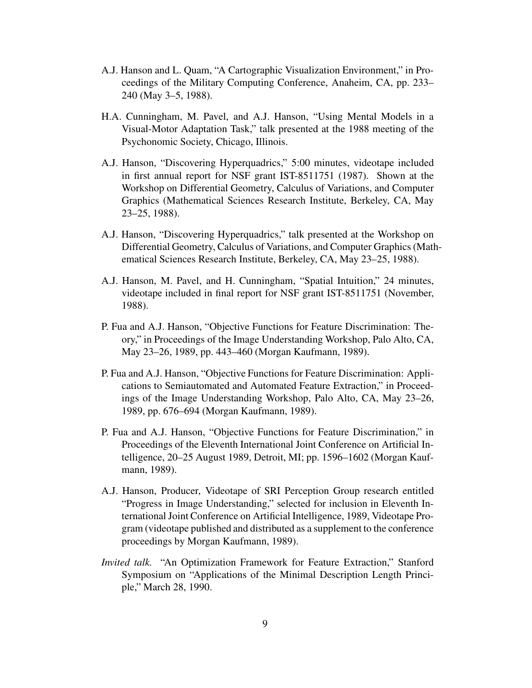- A.J. Hanson and L. Quam, "A Cartographic Visualization Environment," in Proceedings of the Military Computing Conference, Anaheim, CA, pp. 233– 240 (May 3–5, 1988).
- H.A. Cunningham, M. Pavel, and A.J. Hanson, "Using Mental Models in a Visual-Motor Adaptation Task," talk presented at the 1988 meeting of the Psychonomic Society, Chicago, Illinois.
- A.J. Hanson, "Discovering Hyperquadrics," 5:00 minutes, videotape included in first annual report for NSF grant IST-8511751 (1987). Shown at the Workshop on Differential Geometry, Calculus of Variations, and Computer Graphics (Mathematical Sciences Research Institute, Berkeley, CA, May 23–25, 1988).
- A.J. Hanson, "Discovering Hyperquadrics," talk presented at the Workshop on Differential Geometry, Calculus of Variations, and Computer Graphics (Mathematical Sciences Research Institute, Berkeley, CA, May 23–25, 1988).
- A.J. Hanson, M. Pavel, and H. Cunningham, "Spatial Intuition," 24 minutes, videotape included in final report for NSF grant IST-8511751 (November, 1988).
- P. Fua and A.J. Hanson, "Objective Functions for Feature Discrimination: Theory," in Proceedings of the Image Understanding Workshop, Palo Alto, CA, May 23–26, 1989, pp. 443–460 (Morgan Kaufmann, 1989).
- P. Fua and A.J. Hanson, "Objective Functions for Feature Discrimination: Applications to Semiautomated and Automated Feature Extraction," in Proceedings of the Image Understanding Workshop, Palo Alto, CA, May 23–26, 1989, pp. 676–694 (Morgan Kaufmann, 1989).
- P. Fua and A.J. Hanson, "Objective Functions for Feature Discrimination," in Proceedings of the Eleventh International Joint Conference on Artificial Intelligence, 20–25 August 1989, Detroit, MI; pp. 1596–1602 (Morgan Kaufmann, 1989).
- A.J. Hanson, Producer, Videotape of SRI Perception Group research entitled "Progress in Image Understanding," selected for inclusion in Eleventh International Joint Conference on Artificial Intelligence, 1989, Videotape Program (videotape published and distributed as a supplement to the conference proceedings by Morgan Kaufmann, 1989).
- *Invited talk.* "An Optimization Framework for Feature Extraction," Stanford Symposium on "Applications of the Minimal Description Length Principle," March 28, 1990.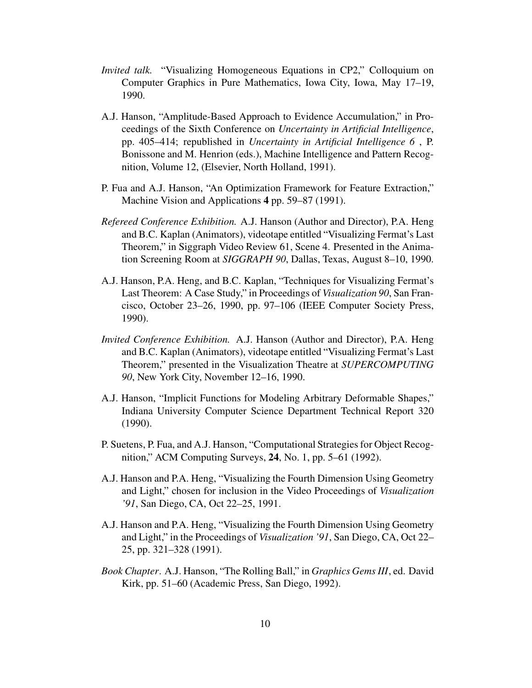- *Invited talk.* "Visualizing Homogeneous Equations in CP2," Colloquium on Computer Graphics in Pure Mathematics, Iowa City, Iowa, May 17–19, 1990.
- A.J. Hanson, "Amplitude-Based Approach to Evidence Accumulation," in Proceedings of the Sixth Conference on *Uncertainty in Artificial Intelligence*, pp. 405–414; republished in *Uncertainty in Artificial Intelligence 6* , P. Bonissone and M. Henrion (eds.), Machine Intelligence and Pattern Recognition, Volume 12, (Elsevier, North Holland, 1991).
- P. Fua and A.J. Hanson, "An Optimization Framework for Feature Extraction," Machine Vision and Applications 4 pp. 59–87 (1991).
- *Refereed Conference Exhibition.* A.J. Hanson (Author and Director), P.A. Heng and B.C. Kaplan (Animators), videotape entitled "Visualizing Fermat's Last Theorem," in Siggraph Video Review 61, Scene 4. Presented in the Animation Screening Room at *SIGGRAPH 90*, Dallas, Texas, August 8–10, 1990.
- A.J. Hanson, P.A. Heng, and B.C. Kaplan, "Techniques for Visualizing Fermat's Last Theorem: A Case Study," in Proceedings of *Visualization 90*, San Francisco, October 23–26, 1990, pp. 97–106 (IEEE Computer Society Press, 1990).
- *Invited Conference Exhibition.* A.J. Hanson (Author and Director), P.A. Heng and B.C. Kaplan (Animators), videotape entitled "Visualizing Fermat's Last Theorem," presented in the Visualization Theatre at *SUPERCOMPUTING 90*, New York City, November 12–16, 1990.
- A.J. Hanson, "Implicit Functions for Modeling Arbitrary Deformable Shapes," Indiana University Computer Science Department Technical Report 320 (1990).
- P. Suetens, P. Fua, and A.J. Hanson, "Computational Strategies for Object Recognition," ACM Computing Surveys, 24, No. 1, pp. 5–61 (1992).
- A.J. Hanson and P.A. Heng, "Visualizing the Fourth Dimension Using Geometry and Light," chosen for inclusion in the Video Proceedings of *Visualization '91*, San Diego, CA, Oct 22–25, 1991.
- A.J. Hanson and P.A. Heng, "Visualizing the Fourth Dimension Using Geometry and Light," in the Proceedings of *Visualization '91*, San Diego, CA, Oct 22– 25, pp. 321–328 (1991).
- *Book Chapter*. A.J. Hanson, "The Rolling Ball," in *Graphics Gems III*, ed. David Kirk, pp. 51–60 (Academic Press, San Diego, 1992).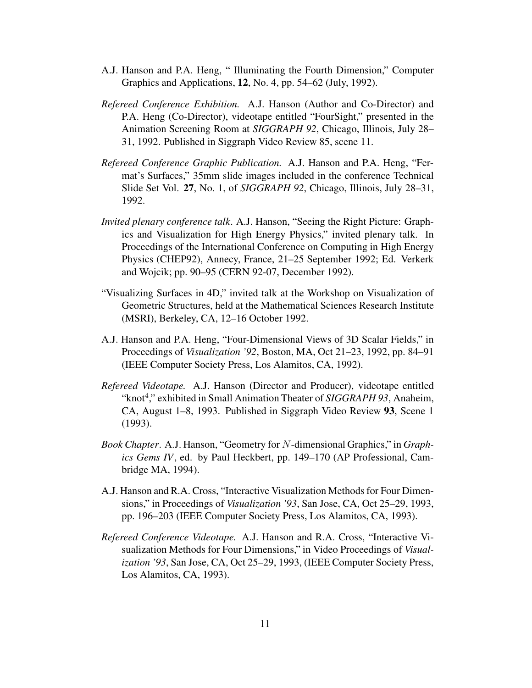- A.J. Hanson and P.A. Heng, " Illuminating the Fourth Dimension," Computer Graphics and Applications, 12, No. 4, pp. 54–62 (July, 1992).
- *Refereed Conference Exhibition.* A.J. Hanson (Author and Co-Director) and P.A. Heng (Co-Director), videotape entitled "FourSight," presented in the Animation Screening Room at *SIGGRAPH 92*, Chicago, Illinois, July 28– 31, 1992. Published in Siggraph Video Review 85, scene 11.
- *Refereed Conference Graphic Publication.* A.J. Hanson and P.A. Heng, "Fermat's Surfaces," 35mm slide images included in the conference Technical Slide Set Vol. 27, No. 1, of *SIGGRAPH 92*, Chicago, Illinois, July 28–31, 1992.
- *Invited plenary conference talk*. A.J. Hanson, "Seeing the Right Picture: Graphics and Visualization for High Energy Physics," invited plenary talk. In Proceedings of the International Conference on Computing in High Energy Physics (CHEP92), Annecy, France, 21–25 September 1992; Ed. Verkerk and Wojcik; pp. 90–95 (CERN 92-07, December 1992).
- "Visualizing Surfaces in 4D," invited talk at the Workshop on Visualization of Geometric Structures, held at the Mathematical Sciences Research Institute (MSRI), Berkeley, CA, 12–16 October 1992.
- A.J. Hanson and P.A. Heng, "Four-Dimensional Views of 3D Scalar Fields," in Proceedings of *Visualization '92*, Boston, MA, Oct 21–23, 1992, pp. 84–91 (IEEE Computer Society Press, Los Alamitos, CA, 1992).
- *Refereed Videotape.* A.J. Hanson (Director and Producer), videotape entitled "knot<sup>4</sup>," exhibited in Small Animation Theater of *SIGGRAPH 93*, Anaheim, CA, August 1–8, 1993. Published in Siggraph Video Review 93, Scene 1 (1993).
- *Book Chapter*. A.J. Hanson, "Geometry for N-dimensional Graphics," in *Graphics Gems IV*, ed. by Paul Heckbert, pp. 149–170 (AP Professional, Cambridge MA, 1994).
- A.J. Hanson and R.A. Cross, "Interactive Visualization Methods for Four Dimensions," in Proceedings of *Visualization '93*, San Jose, CA, Oct 25–29, 1993, pp. 196–203 (IEEE Computer Society Press, Los Alamitos, CA, 1993).
- *Refereed Conference Videotape.* A.J. Hanson and R.A. Cross, "Interactive Visualization Methods for Four Dimensions," in Video Proceedings of *Visualization '93*, San Jose, CA, Oct 25–29, 1993, (IEEE Computer Society Press, Los Alamitos, CA, 1993).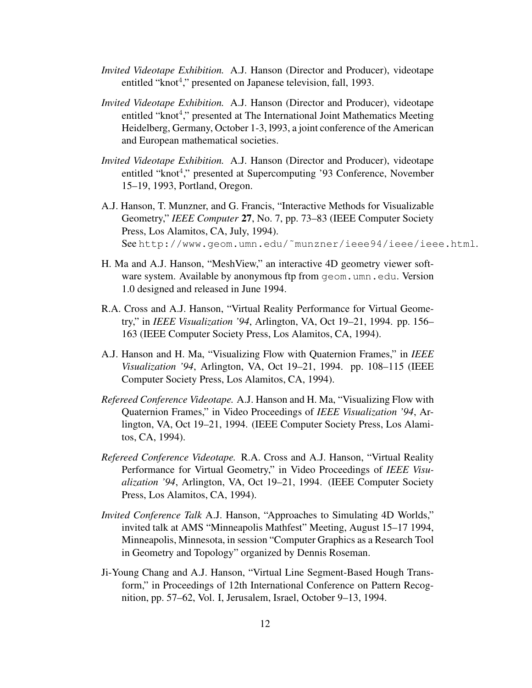- *Invited Videotape Exhibition.* A.J. Hanson (Director and Producer), videotape entitled "knot<sup>4</sup>," presented on Japanese television, fall, 1993.
- *Invited Videotape Exhibition.* A.J. Hanson (Director and Producer), videotape entitled "knot<sup>4</sup>," presented at The International Joint Mathematics Meeting Heidelberg, Germany, October 1-3, l993, a joint conference of the American and European mathematical societies.
- *Invited Videotape Exhibition.* A.J. Hanson (Director and Producer), videotape entitled "knot<sup>4</sup>," presented at Supercomputing '93 Conference, November 15–19, 1993, Portland, Oregon.
- A.J. Hanson, T. Munzner, and G. Francis, "Interactive Methods for Visualizable Geometry," *IEEE Computer* 27, No. 7, pp. 73–83 (IEEE Computer Society Press, Los Alamitos, CA, July, 1994). See http://www.geom.umn.edu/˜munzner/ieee94/ieee/ieee.html.
- H. Ma and A.J. Hanson, "MeshView," an interactive 4D geometry viewer software system. Available by anonymous ftp from geom.umn.edu. Version 1.0 designed and released in June 1994.
- R.A. Cross and A.J. Hanson, "Virtual Reality Performance for Virtual Geometry," in *IEEE Visualization '94*, Arlington, VA, Oct 19–21, 1994. pp. 156– 163 (IEEE Computer Society Press, Los Alamitos, CA, 1994).
- A.J. Hanson and H. Ma, "Visualizing Flow with Quaternion Frames," in *IEEE Visualization '94*, Arlington, VA, Oct 19–21, 1994. pp. 108–115 (IEEE Computer Society Press, Los Alamitos, CA, 1994).
- *Refereed Conference Videotape.* A.J. Hanson and H. Ma, "Visualizing Flow with Quaternion Frames," in Video Proceedings of *IEEE Visualization '94*, Arlington, VA, Oct 19–21, 1994. (IEEE Computer Society Press, Los Alamitos, CA, 1994).
- *Refereed Conference Videotape.* R.A. Cross and A.J. Hanson, "Virtual Reality Performance for Virtual Geometry," in Video Proceedings of *IEEE Visualization '94*, Arlington, VA, Oct 19–21, 1994. (IEEE Computer Society Press, Los Alamitos, CA, 1994).
- *Invited Conference Talk* A.J. Hanson, "Approaches to Simulating 4D Worlds," invited talk at AMS "Minneapolis Mathfest" Meeting, August 15–17 1994, Minneapolis, Minnesota, in session "Computer Graphics as a Research Tool in Geometry and Topology" organized by Dennis Roseman.
- Ji-Young Chang and A.J. Hanson, "Virtual Line Segment-Based Hough Transform," in Proceedings of 12th International Conference on Pattern Recognition, pp. 57–62, Vol. I, Jerusalem, Israel, October 9–13, 1994.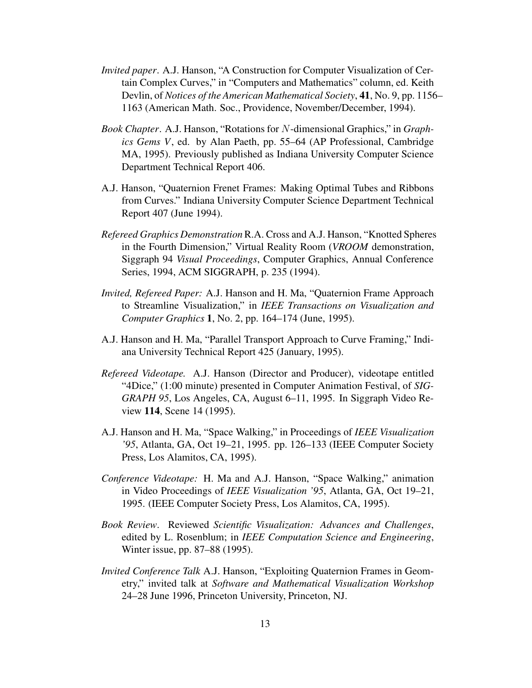- *Invited paper*. A.J. Hanson, "A Construction for Computer Visualization of Certain Complex Curves," in "Computers and Mathematics" column, ed. Keith Devlin, of *Notices of the American Mathematical Society*, 41, No. 9, pp. 1156– 1163 (American Math. Soc., Providence, November/December, 1994).
- *Book Chapter*. A.J. Hanson, "Rotations for N-dimensional Graphics," in *Graphics Gems V*, ed. by Alan Paeth, pp. 55–64 (AP Professional, Cambridge MA, 1995). Previously published as Indiana University Computer Science Department Technical Report 406.
- A.J. Hanson, "Quaternion Frenet Frames: Making Optimal Tubes and Ribbons from Curves." Indiana University Computer Science Department Technical Report 407 (June 1994).
- *Refereed Graphics Demonstration*R.A. Cross and A.J. Hanson, "Knotted Spheres in the Fourth Dimension," Virtual Reality Room (*VROOM* demonstration, Siggraph 94 *Visual Proceedings*, Computer Graphics, Annual Conference Series, 1994, ACM SIGGRAPH, p. 235 (1994).
- *Invited, Refereed Paper:* A.J. Hanson and H. Ma, "Quaternion Frame Approach to Streamline Visualization," in *IEEE Transactions on Visualization and Computer Graphics* 1, No. 2, pp. 164–174 (June, 1995).
- A.J. Hanson and H. Ma, "Parallel Transport Approach to Curve Framing," Indiana University Technical Report 425 (January, 1995).
- *Refereed Videotape.* A.J. Hanson (Director and Producer), videotape entitled "4Dice," (1:00 minute) presented in Computer Animation Festival, of *SIG-GRAPH 95*, Los Angeles, CA, August 6–11, 1995. In Siggraph Video Review 114, Scene 14 (1995).
- A.J. Hanson and H. Ma, "Space Walking," in Proceedings of *IEEE Visualization '95*, Atlanta, GA, Oct 19–21, 1995. pp. 126–133 (IEEE Computer Society Press, Los Alamitos, CA, 1995).
- *Conference Videotape:* H. Ma and A.J. Hanson, "Space Walking," animation in Video Proceedings of *IEEE Visualization '95*, Atlanta, GA, Oct 19–21, 1995. (IEEE Computer Society Press, Los Alamitos, CA, 1995).
- *Book Review*. Reviewed *Scientific Visualization: Advances and Challenges*, edited by L. Rosenblum; in *IEEE Computation Science and Engineering*, Winter issue, pp. 87–88 (1995).
- *Invited Conference Talk* A.J. Hanson, "Exploiting Quaternion Frames in Geometry," invited talk at *Software and Mathematical Visualization Workshop* 24–28 June 1996, Princeton University, Princeton, NJ.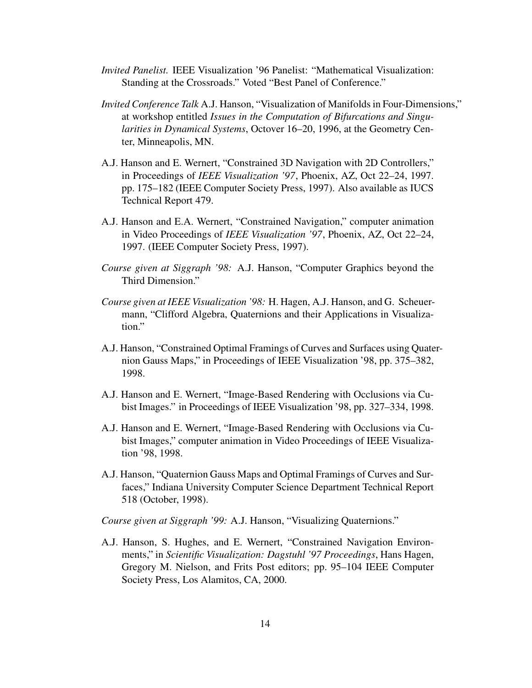- *Invited Panelist.* IEEE Visualization '96 Panelist: "Mathematical Visualization: Standing at the Crossroads." Voted "Best Panel of Conference."
- *Invited Conference Talk* A.J. Hanson, "Visualization of Manifolds in Four-Dimensions," at workshop entitled *Issues in the Computation of Bifurcations and Singularities in Dynamical Systems*, Octover 16–20, 1996, at the Geometry Center, Minneapolis, MN.
- A.J. Hanson and E. Wernert, "Constrained 3D Navigation with 2D Controllers," in Proceedings of *IEEE Visualization '97*, Phoenix, AZ, Oct 22–24, 1997. pp. 175–182 (IEEE Computer Society Press, 1997). Also available as IUCS Technical Report 479.
- A.J. Hanson and E.A. Wernert, "Constrained Navigation," computer animation in Video Proceedings of *IEEE Visualization '97*, Phoenix, AZ, Oct 22–24, 1997. (IEEE Computer Society Press, 1997).
- *Course given at Siggraph '98:* A.J. Hanson, "Computer Graphics beyond the Third Dimension."
- *Course given at IEEE Visualization '98:* H. Hagen, A.J. Hanson, and G. Scheuermann, "Clifford Algebra, Quaternions and their Applications in Visualization."
- A.J. Hanson, "Constrained Optimal Framings of Curves and Surfaces using Quaternion Gauss Maps," in Proceedings of IEEE Visualization '98, pp. 375–382, 1998.
- A.J. Hanson and E. Wernert, "Image-Based Rendering with Occlusions via Cubist Images." in Proceedings of IEEE Visualization '98, pp. 327–334, 1998.
- A.J. Hanson and E. Wernert, "Image-Based Rendering with Occlusions via Cubist Images," computer animation in Video Proceedings of IEEE Visualization '98, 1998.
- A.J. Hanson, "Quaternion Gauss Maps and Optimal Framings of Curves and Surfaces," Indiana University Computer Science Department Technical Report 518 (October, 1998).

*Course given at Siggraph '99:* A.J. Hanson, "Visualizing Quaternions."

A.J. Hanson, S. Hughes, and E. Wernert, "Constrained Navigation Environments," in *Scientific Visualization: Dagstuhl '97 Proceedings*, Hans Hagen, Gregory M. Nielson, and Frits Post editors; pp. 95–104 IEEE Computer Society Press, Los Alamitos, CA, 2000.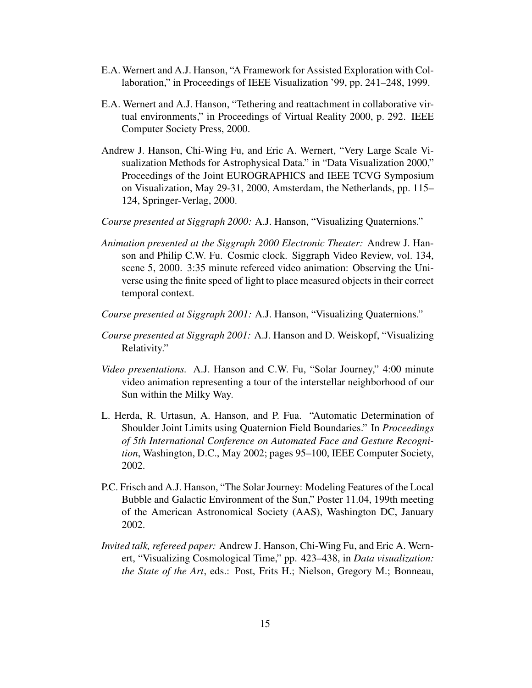- E.A. Wernert and A.J. Hanson, "A Framework for Assisted Exploration with Collaboration," in Proceedings of IEEE Visualization '99, pp. 241–248, 1999.
- E.A. Wernert and A.J. Hanson, "Tethering and reattachment in collaborative virtual environments," in Proceedings of Virtual Reality 2000, p. 292. IEEE Computer Society Press, 2000.
- Andrew J. Hanson, Chi-Wing Fu, and Eric A. Wernert, "Very Large Scale Visualization Methods for Astrophysical Data." in "Data Visualization 2000," Proceedings of the Joint EUROGRAPHICS and IEEE TCVG Symposium on Visualization, May 29-31, 2000, Amsterdam, the Netherlands, pp. 115– 124, Springer-Verlag, 2000.
- *Course presented at Siggraph 2000:* A.J. Hanson, "Visualizing Quaternions."
- *Animation presented at the Siggraph 2000 Electronic Theater:* Andrew J. Hanson and Philip C.W. Fu. Cosmic clock. Siggraph Video Review, vol. 134, scene 5, 2000. 3:35 minute refereed video animation: Observing the Universe using the finite speed of light to place measured objects in their correct temporal context.
- *Course presented at Siggraph 2001:* A.J. Hanson, "Visualizing Quaternions."
- *Course presented at Siggraph 2001:* A.J. Hanson and D. Weiskopf, "Visualizing Relativity."
- *Video presentations.* A.J. Hanson and C.W. Fu, "Solar Journey," 4:00 minute video animation representing a tour of the interstellar neighborhood of our Sun within the Milky Way.
- L. Herda, R. Urtasun, A. Hanson, and P. Fua. "Automatic Determination of Shoulder Joint Limits using Quaternion Field Boundaries." In *Proceedings of 5th International Conference on Automated Face and Gesture Recognition*, Washington, D.C., May 2002; pages 95–100, IEEE Computer Society, 2002.
- P.C. Frisch and A.J. Hanson, "The Solar Journey: Modeling Features of the Local Bubble and Galactic Environment of the Sun," Poster 11.04, 199th meeting of the American Astronomical Society (AAS), Washington DC, January 2002.
- *Invited talk, refereed paper:* Andrew J. Hanson, Chi-Wing Fu, and Eric A. Wernert, "Visualizing Cosmological Time," pp. 423–438, in *Data visualization: the State of the Art*, eds.: Post, Frits H.; Nielson, Gregory M.; Bonneau,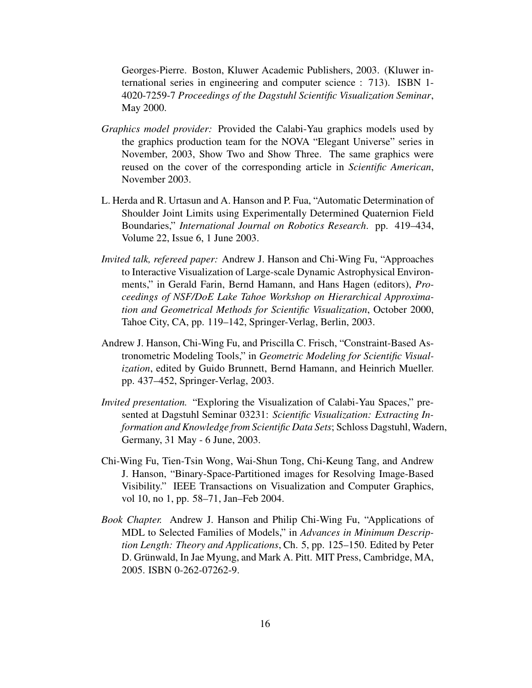Georges-Pierre. Boston, Kluwer Academic Publishers, 2003. (Kluwer international series in engineering and computer science : 713). ISBN 1- 4020-7259-7 *Proceedings of the Dagstuhl Scientific Visualization Seminar*, May 2000.

- *Graphics model provider:* Provided the Calabi-Yau graphics models used by the graphics production team for the NOVA "Elegant Universe" series in November, 2003, Show Two and Show Three. The same graphics were reused on the cover of the corresponding article in *Scientific American*, November 2003.
- L. Herda and R. Urtasun and A. Hanson and P. Fua, "Automatic Determination of Shoulder Joint Limits using Experimentally Determined Quaternion Field Boundaries," *International Journal on Robotics Research*. pp. 419–434, Volume 22, Issue 6, 1 June 2003.
- *Invited talk, refereed paper:* Andrew J. Hanson and Chi-Wing Fu, "Approaches to Interactive Visualization of Large-scale Dynamic Astrophysical Environments," in Gerald Farin, Bernd Hamann, and Hans Hagen (editors), *Proceedings of NSF/DoE Lake Tahoe Workshop on Hierarchical Approximation and Geometrical Methods for Scientific Visualization*, October 2000, Tahoe City, CA, pp. 119–142, Springer-Verlag, Berlin, 2003.
- Andrew J. Hanson, Chi-Wing Fu, and Priscilla C. Frisch, "Constraint-Based Astronometric Modeling Tools," in *Geometric Modeling for Scientific Visualization*, edited by Guido Brunnett, Bernd Hamann, and Heinrich Mueller. pp. 437–452, Springer-Verlag, 2003.
- *Invited presentation.* "Exploring the Visualization of Calabi-Yau Spaces," presented at Dagstuhl Seminar 03231: *Scientific Visualization: Extracting Information and Knowledge from Scientific Data Sets*; Schloss Dagstuhl, Wadern, Germany, 31 May - 6 June, 2003.
- Chi-Wing Fu, Tien-Tsin Wong, Wai-Shun Tong, Chi-Keung Tang, and Andrew J. Hanson, "Binary-Space-Partitioned images for Resolving Image-Based Visibility." IEEE Transactions on Visualization and Computer Graphics, vol 10, no 1, pp. 58–71, Jan–Feb 2004.
- *Book Chapter.* Andrew J. Hanson and Philip Chi-Wing Fu, "Applications of MDL to Selected Families of Models," in *Advances in Minimum Description Length: Theory and Applications*, Ch. 5, pp. 125–150. Edited by Peter D. Grünwald, In Jae Myung, and Mark A. Pitt. MIT Press, Cambridge, MA, 2005. ISBN 0-262-07262-9.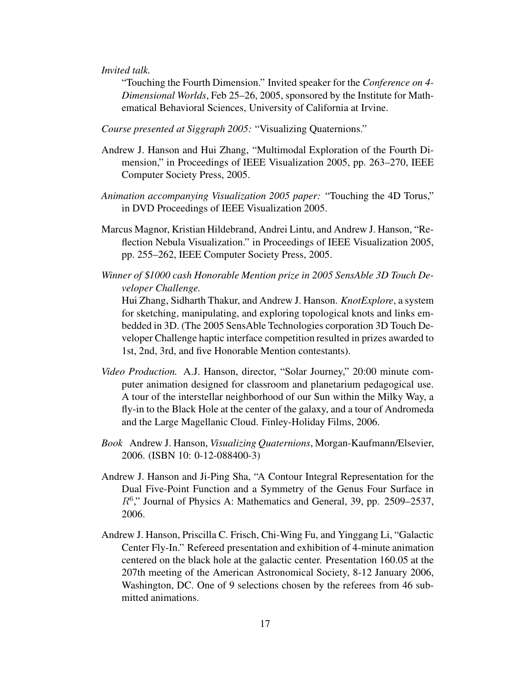*Invited talk.*

"Touching the Fourth Dimension." Invited speaker for the *Conference on 4- Dimensional Worlds*, Feb 25–26, 2005, sponsored by the Institute for Mathematical Behavioral Sciences, University of California at Irvine.

*Course presented at Siggraph 2005:* "Visualizing Quaternions."

- Andrew J. Hanson and Hui Zhang, "Multimodal Exploration of the Fourth Dimension," in Proceedings of IEEE Visualization 2005, pp. 263–270, IEEE Computer Society Press, 2005.
- *Animation accompanying Visualization 2005 paper:* "Touching the 4D Torus," in DVD Proceedings of IEEE Visualization 2005.
- Marcus Magnor, Kristian Hildebrand, Andrei Lintu, and Andrew J. Hanson, "Reflection Nebula Visualization." in Proceedings of IEEE Visualization 2005, pp. 255–262, IEEE Computer Society Press, 2005.
- *Winner of* \$*1000 cash Honorable Mention prize in 2005 SensAble 3D Touch Developer Challenge.*

Hui Zhang, Sidharth Thakur, and Andrew J. Hanson. *KnotExplore*, a system for sketching, manipulating, and exploring topological knots and links embedded in 3D. (The 2005 SensAble Technologies corporation 3D Touch Developer Challenge haptic interface competition resulted in prizes awarded to 1st, 2nd, 3rd, and five Honorable Mention contestants).

- *Video Production.* A.J. Hanson, director, "Solar Journey," 20:00 minute computer animation designed for classroom and planetarium pedagogical use. A tour of the interstellar neighborhood of our Sun within the Milky Way, a fly-in to the Black Hole at the center of the galaxy, and a tour of Andromeda and the Large Magellanic Cloud. Finley-Holiday Films, 2006.
- *Book* Andrew J. Hanson, *Visualizing Quaternions*, Morgan-Kaufmann/Elsevier, 2006. (ISBN 10: 0-12-088400-3)
- Andrew J. Hanson and Ji-Ping Sha, "A Contour Integral Representation for the Dual Five-Point Function and a Symmetry of the Genus Four Surface in R<sup>6</sup> ," Journal of Physics A: Mathematics and General, 39, pp. 2509–2537, 2006.
- Andrew J. Hanson, Priscilla C. Frisch, Chi-Wing Fu, and Yinggang Li, "Galactic Center Fly-In." Refereed presentation and exhibition of 4-minute animation centered on the black hole at the galactic center. Presentation 160.05 at the 207th meeting of the American Astronomical Society, 8-12 January 2006, Washington, DC. One of 9 selections chosen by the referees from 46 submitted animations.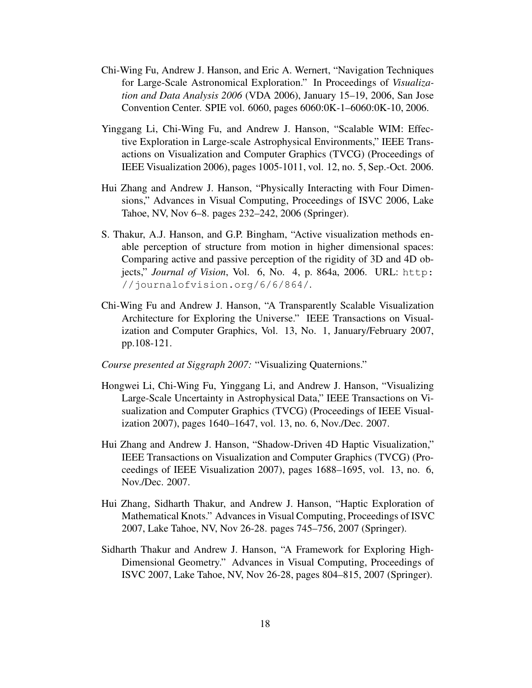- Chi-Wing Fu, Andrew J. Hanson, and Eric A. Wernert, "Navigation Techniques for Large-Scale Astronomical Exploration." In Proceedings of *Visualization and Data Analysis 2006* (VDA 2006), January 15–19, 2006, San Jose Convention Center. SPIE vol. 6060, pages 6060:0K-1–6060:0K-10, 2006.
- Yinggang Li, Chi-Wing Fu, and Andrew J. Hanson, "Scalable WIM: Effective Exploration in Large-scale Astrophysical Environments," IEEE Transactions on Visualization and Computer Graphics (TVCG) (Proceedings of IEEE Visualization 2006), pages 1005-1011, vol. 12, no. 5, Sep.-Oct. 2006.
- Hui Zhang and Andrew J. Hanson, "Physically Interacting with Four Dimensions," Advances in Visual Computing, Proceedings of ISVC 2006, Lake Tahoe, NV, Nov 6–8. pages 232–242, 2006 (Springer).
- S. Thakur, A.J. Hanson, and G.P. Bingham, "Active visualization methods enable perception of structure from motion in higher dimensional spaces: Comparing active and passive perception of the rigidity of 3D and 4D objects," *Journal of Vision*, Vol. 6, No. 4, p. 864a, 2006. URL: http: //journalofvision.org/6/6/864/.
- Chi-Wing Fu and Andrew J. Hanson, "A Transparently Scalable Visualization Architecture for Exploring the Universe." IEEE Transactions on Visualization and Computer Graphics, Vol. 13, No. 1, January/February 2007, pp.108-121.
- *Course presented at Siggraph 2007:* "Visualizing Quaternions."
- Hongwei Li, Chi-Wing Fu, Yinggang Li, and Andrew J. Hanson, "Visualizing Large-Scale Uncertainty in Astrophysical Data," IEEE Transactions on Visualization and Computer Graphics (TVCG) (Proceedings of IEEE Visualization 2007), pages 1640–1647, vol. 13, no. 6, Nov./Dec. 2007.
- Hui Zhang and Andrew J. Hanson, "Shadow-Driven 4D Haptic Visualization," IEEE Transactions on Visualization and Computer Graphics (TVCG) (Proceedings of IEEE Visualization 2007), pages 1688–1695, vol. 13, no. 6, Nov./Dec. 2007.
- Hui Zhang, Sidharth Thakur, and Andrew J. Hanson, "Haptic Exploration of Mathematical Knots." Advances in Visual Computing, Proceedings of ISVC 2007, Lake Tahoe, NV, Nov 26-28. pages 745–756, 2007 (Springer).
- Sidharth Thakur and Andrew J. Hanson, "A Framework for Exploring High-Dimensional Geometry." Advances in Visual Computing, Proceedings of ISVC 2007, Lake Tahoe, NV, Nov 26-28, pages 804–815, 2007 (Springer).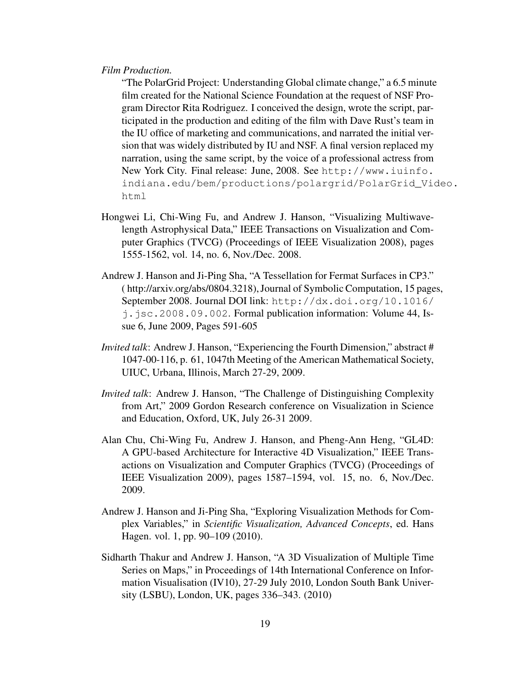#### *Film Production.*

"The PolarGrid Project: Understanding Global climate change," a 6.5 minute film created for the National Science Foundation at the request of NSF Program Director Rita Rodriguez. I conceived the design, wrote the script, participated in the production and editing of the film with Dave Rust's team in the IU office of marketing and communications, and narrated the initial version that was widely distributed by IU and NSF. A final version replaced my narration, using the same script, by the voice of a professional actress from New York City. Final release: June, 2008. See http://www.iuinfo. indiana.edu/bem/productions/polargrid/PolarGrid\_Video. html

- Hongwei Li, Chi-Wing Fu, and Andrew J. Hanson, "Visualizing Multiwavelength Astrophysical Data," IEEE Transactions on Visualization and Computer Graphics (TVCG) (Proceedings of IEEE Visualization 2008), pages 1555-1562, vol. 14, no. 6, Nov./Dec. 2008.
- Andrew J. Hanson and Ji-Ping Sha, "A Tessellation for Fermat Surfaces in CP3." ( http://arxiv.org/abs/0804.3218), Journal of Symbolic Computation, 15 pages, September 2008. Journal DOI link: http://dx.doi.org/10.1016/ j.jsc.2008.09.002. Formal publication information: Volume 44, Issue 6, June 2009, Pages 591-605
- *Invited talk*: Andrew J. Hanson, "Experiencing the Fourth Dimension," abstract # 1047-00-116, p. 61, 1047th Meeting of the American Mathematical Society, UIUC, Urbana, Illinois, March 27-29, 2009.
- *Invited talk*: Andrew J. Hanson, "The Challenge of Distinguishing Complexity from Art," 2009 Gordon Research conference on Visualization in Science and Education, Oxford, UK, July 26-31 2009.
- Alan Chu, Chi-Wing Fu, Andrew J. Hanson, and Pheng-Ann Heng, "GL4D: A GPU-based Architecture for Interactive 4D Visualization," IEEE Transactions on Visualization and Computer Graphics (TVCG) (Proceedings of IEEE Visualization 2009), pages 1587–1594, vol. 15, no. 6, Nov./Dec. 2009.
- Andrew J. Hanson and Ji-Ping Sha, "Exploring Visualization Methods for Complex Variables," in *Scientific Visualization, Advanced Concepts*, ed. Hans Hagen. vol. 1, pp. 90–109 (2010).
- Sidharth Thakur and Andrew J. Hanson, "A 3D Visualization of Multiple Time Series on Maps," in Proceedings of 14th International Conference on Information Visualisation (IV10), 27-29 July 2010, London South Bank University (LSBU), London, UK, pages 336–343. (2010)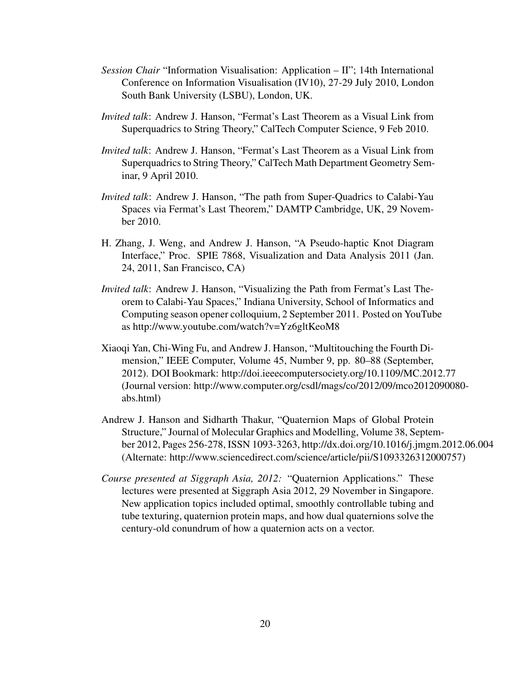- *Session Chair* "Information Visualisation: Application II"; 14th International Conference on Information Visualisation (IV10), 27-29 July 2010, London South Bank University (LSBU), London, UK.
- *Invited talk*: Andrew J. Hanson, "Fermat's Last Theorem as a Visual Link from Superquadrics to String Theory," CalTech Computer Science, 9 Feb 2010.
- *Invited talk*: Andrew J. Hanson, "Fermat's Last Theorem as a Visual Link from Superquadrics to String Theory," CalTech Math Department Geometry Seminar, 9 April 2010.
- *Invited talk*: Andrew J. Hanson, "The path from Super-Quadrics to Calabi-Yau Spaces via Fermat's Last Theorem," DAMTP Cambridge, UK, 29 November 2010.
- H. Zhang, J. Weng, and Andrew J. Hanson, "A Pseudo-haptic Knot Diagram Interface," Proc. SPIE 7868, Visualization and Data Analysis 2011 (Jan. 24, 2011, San Francisco, CA)
- *Invited talk*: Andrew J. Hanson, "Visualizing the Path from Fermat's Last Theorem to Calabi-Yau Spaces," Indiana University, School of Informatics and Computing season opener colloquium, 2 September 2011. Posted on YouTube as http://www.youtube.com/watch?v=Yz6gltKeoM8
- Xiaoqi Yan, Chi-Wing Fu, and Andrew J. Hanson, "Multitouching the Fourth Dimension," IEEE Computer, Volume 45, Number 9, pp. 80–88 (September, 2012). DOI Bookmark: http://doi.ieeecomputersociety.org/10.1109/MC.2012.77 (Journal version: http://www.computer.org/csdl/mags/co/2012/09/mco2012090080 abs.html)
- Andrew J. Hanson and Sidharth Thakur, "Quaternion Maps of Global Protein Structure," Journal of Molecular Graphics and Modelling, Volume 38, September 2012, Pages 256-278, ISSN 1093-3263, http://dx.doi.org/10.1016/j.jmgm.2012.06.004 (Alternate: http://www.sciencedirect.com/science/article/pii/S1093326312000757)
- *Course presented at Siggraph Asia, 2012:* "Quaternion Applications." These lectures were presented at Siggraph Asia 2012, 29 November in Singapore. New application topics included optimal, smoothly controllable tubing and tube texturing, quaternion protein maps, and how dual quaternions solve the century-old conundrum of how a quaternion acts on a vector.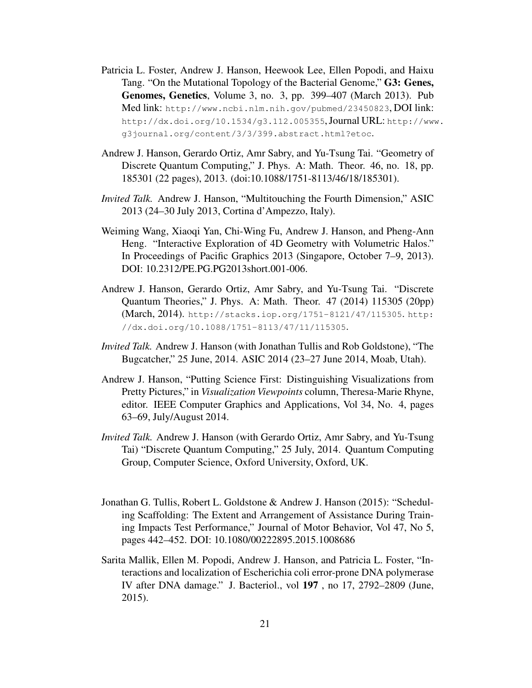- Patricia L. Foster, Andrew J. Hanson, Heewook Lee, Ellen Popodi, and Haixu Tang. "On the Mutational Topology of the Bacterial Genome," G3: Genes, Genomes, Genetics, Volume 3, no. 3, pp. 399–407 (March 2013). Pub Med link: http://www.ncbi.nlm.nih.gov/pubmed/23450823, DOI link: http://dx.doi.org/10.1534/g3.112.005355, Journal URL: http://www. g3journal.org/content/3/3/399.abstract.html?etoc.
- Andrew J. Hanson, Gerardo Ortiz, Amr Sabry, and Yu-Tsung Tai. "Geometry of Discrete Quantum Computing," J. Phys. A: Math. Theor. 46, no. 18, pp. 185301 (22 pages), 2013. (doi:10.1088/1751-8113/46/18/185301).
- *Invited Talk.* Andrew J. Hanson, "Multitouching the Fourth Dimension," ASIC 2013 (24–30 July 2013, Cortina d'Ampezzo, Italy).
- Weiming Wang, Xiaoqi Yan, Chi-Wing Fu, Andrew J. Hanson, and Pheng-Ann Heng. "Interactive Exploration of 4D Geometry with Volumetric Halos." In Proceedings of Pacific Graphics 2013 (Singapore, October 7–9, 2013). DOI: 10.2312/PE.PG.PG2013short.001-006.
- Andrew J. Hanson, Gerardo Ortiz, Amr Sabry, and Yu-Tsung Tai. "Discrete Quantum Theories," J. Phys. A: Math. Theor. 47 (2014) 115305 (20pp) (March, 2014). http://stacks.iop.org/1751-8121/47/115305. http: //dx.doi.org/10.1088/1751-8113/47/11/115305.
- *Invited Talk.* Andrew J. Hanson (with Jonathan Tullis and Rob Goldstone), "The Bugcatcher," 25 June, 2014. ASIC 2014 (23–27 June 2014, Moab, Utah).
- Andrew J. Hanson, "Putting Science First: Distinguishing Visualizations from Pretty Pictures," in *Visualization Viewpoints* column, Theresa-Marie Rhyne, editor. IEEE Computer Graphics and Applications, Vol 34, No. 4, pages 63–69, July/August 2014.
- *Invited Talk.* Andrew J. Hanson (with Gerardo Ortiz, Amr Sabry, and Yu-Tsung Tai) "Discrete Quantum Computing," 25 July, 2014. Quantum Computing Group, Computer Science, Oxford University, Oxford, UK.
- Jonathan G. Tullis, Robert L. Goldstone & Andrew J. Hanson (2015): "Scheduling Scaffolding: The Extent and Arrangement of Assistance During Training Impacts Test Performance," Journal of Motor Behavior, Vol 47, No 5, pages 442–452. DOI: 10.1080/00222895.2015.1008686
- Sarita Mallik, Ellen M. Popodi, Andrew J. Hanson, and Patricia L. Foster, "Interactions and localization of Escherichia coli error-prone DNA polymerase IV after DNA damage." J. Bacteriol., vol 197 , no 17, 2792–2809 (June, 2015).